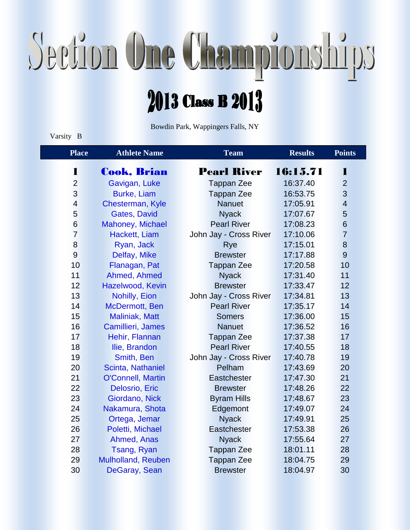## Section One Championships

## Class B  $2013$

Bowdin Park, Wappingers Falls, NY

## Varsity B

| <b>Place</b>             | <b>Athlete Name</b>      | <b>Team</b>            | <b>Results</b> | <b>Points</b>  |
|--------------------------|--------------------------|------------------------|----------------|----------------|
| 1                        | <b>Cook, Brian</b>       | <b>Pearl River</b>     | 16:15.71       | 1              |
| $\overline{2}$           | Gavigan, Luke            | <b>Tappan Zee</b>      | 16:37.40       | $\overline{2}$ |
| 3                        | <b>Burke, Liam</b>       | <b>Tappan Zee</b>      | 16:53.75       | 3              |
| $\overline{\mathcal{A}}$ | Chesterman, Kyle         | <b>Nanuet</b>          | 17:05.91       | $\overline{4}$ |
| 5                        | <b>Gates, David</b>      | <b>Nyack</b>           | 17:07.67       | 5              |
| 6                        | Mahoney, Michael         | <b>Pearl River</b>     | 17:08.23       | 6              |
| $\overline{7}$           | Hackett, Liam            | John Jay - Cross River | 17:10.06       | $\overline{7}$ |
| 8                        | Ryan, Jack               | Rye                    | 17:15.01       | 8              |
| 9                        | Delfay, Mike             | <b>Brewster</b>        | 17:17.88       | $\overline{9}$ |
| 10                       | Flanagan, Pat            | <b>Tappan Zee</b>      | 17:20.58       | 10             |
| 11                       | Ahmed, Ahmed             | <b>Nyack</b>           | 17:31.40       | 11             |
| 12                       | Hazelwood, Kevin         | <b>Brewster</b>        | 17:33.47       | 12             |
| 13                       | Nohilly, Eion            | John Jay - Cross River | 17:34.81       | 13             |
| 14                       | McDermott, Ben           | <b>Pearl River</b>     | 17:35.17       | 14             |
| 15                       | <b>Maliniak, Matt</b>    | <b>Somers</b>          | 17:36.00       | 15             |
| 16                       | Camillieri, James        | <b>Nanuet</b>          | 17:36.52       | 16             |
| 17                       | Hehir, Flannan           | <b>Tappan Zee</b>      | 17:37.38       | 17             |
| 18                       | Ilie, Brandon            | <b>Pearl River</b>     | 17:40.55       | 18             |
| 19                       | Smith, Ben               | John Jay - Cross River | 17:40.78       | 19             |
| 20                       | Scinta, Nathaniel        | Pelham                 | 17:43.69       | 20             |
| 21                       | <b>O'Connell, Martin</b> | Eastchester            | 17:47.30       | 21             |
| 22                       | Delosrio, Eric           | <b>Brewster</b>        | 17:48.26       | 22             |
| 23                       | Giordano, Nick           | <b>Byram Hills</b>     | 17:48.67       | 23             |
| 24                       | Nakamura, Shota          | Edgemont               | 17:49.07       | 24             |
| 25                       | Ortega, Jemar            | <b>Nyack</b>           | 17:49.91       | 25             |
| 26                       | Poletti, Michael         | Eastchester            | 17:53.38       | 26             |
| 27                       | Ahmed, Anas              | <b>Nyack</b>           | 17:55.64       | 27             |
| 28                       | Tsang, Ryan              | <b>Tappan Zee</b>      | 18:01.11       | 28             |
| 29                       | Mulholland, Reuben       | <b>Tappan Zee</b>      | 18:04.75       | 29             |
| 30                       | DeGaray, Sean            | <b>Brewster</b>        | 18:04.97       | 30             |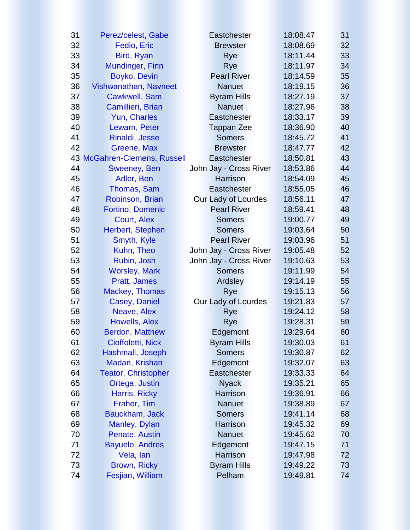| 31 | Perez/celest, Gabe           | <b>Eastchester</b>     |          |                 |  |
|----|------------------------------|------------------------|----------|-----------------|--|
| 32 | Fedio, Eric                  | <b>Brewster</b>        | 18:08.69 | 32 <sub>2</sub> |  |
| 33 | Bird, Ryan                   | Rye                    | 18:11.44 | 33              |  |
| 34 | Mundinger, Finn              | Rye                    | 18:11.97 | 34              |  |
| 35 | Boyko, Devin                 | <b>Pearl River</b>     | 18:14.59 | 35              |  |
| 36 | Vishwanathan, Navneet        | <b>Nanuet</b>          | 18:19.15 | 36              |  |
| 37 | <b>Cawkwell, Sam</b>         | <b>Byram Hills</b>     | 18:27.19 | 37              |  |
| 38 | Camillieri, Brian            | <b>Nanuet</b>          | 18:27.96 | 38              |  |
| 39 | Yun, Charles                 | <b>Eastchester</b>     | 18:33.17 | 39              |  |
| 40 | Lewarn, Peter                | <b>Tappan Zee</b>      | 18:36.90 | 40              |  |
| 41 | Rinaldi, Jesse               | <b>Somers</b>          | 18:45.72 | 41              |  |
| 42 | <b>Greene, Max</b>           | <b>Brewster</b>        | 18:47.77 | 42              |  |
|    | 43 McGahren-Clemens, Russell | <b>Eastchester</b>     | 18:50.81 | 43              |  |
| 44 | Sweeney, Ben                 | John Jay - Cross River | 18:53.86 | 44              |  |
| 45 | Adler, Ben                   | <b>Harrison</b>        | 18:54.09 | 45              |  |
| 46 | Thomas, Sam                  | <b>Eastchester</b>     | 18:55.05 | 46              |  |
| 47 | Robinson, Brian              | Our Lady of Lourdes    | 18:56.11 | 47              |  |
| 48 | <b>Fortino, Domenic</b>      | <b>Pearl River</b>     | 18:59.41 | 48              |  |
| 49 | <b>Court, Alex</b>           | <b>Somers</b>          | 19:00.77 | 49              |  |
| 50 | Herbert, Stephen             | <b>Somers</b>          | 19:03.64 | 50              |  |
| 51 | Smyth, Kyle                  | <b>Pearl River</b>     | 19:03.96 | 51              |  |
| 52 | Kuhn, Theo                   | John Jay - Cross River | 19:05.48 | 52              |  |
| 53 | Rubin, Josh                  | John Jay - Cross River | 19:10.63 | 53              |  |
| 54 | <b>Worsley, Mark</b>         | <b>Somers</b>          | 19:11.99 | 54              |  |
| 55 | Pratt, James                 | Ardsley                | 19:14.19 | 55              |  |
| 56 | Mackey, Thomas               | Rye                    | 19:15.13 | 56              |  |
| 57 | <b>Casey, Daniel</b>         | Our Lady of Lourdes    | 19:21.83 | 57              |  |
| 58 | Neave, Alex                  | Rye                    | 19:24.12 | 58              |  |
| 59 | Howells, Alex                | <b>Rye</b>             | 19:28.31 | 59              |  |
| 60 | <b>Berdon, Matthew</b>       | Edgemont               | 19:29.64 | 60              |  |
| 61 | Cioffoletti, Nick            | <b>Byram Hills</b>     | 19:30.03 | 61              |  |
| 62 | Hashmall, Joseph             | <b>Somers</b>          | 19:30.87 | 62              |  |
| 63 | Madan, Krishan               | Edgemont               | 19:32.07 | 63              |  |
| 64 | <b>Teator, Christopher</b>   | <b>Eastchester</b>     | 19:33.33 | 64              |  |
| 65 | Ortega, Justin               | <b>Nyack</b>           | 19:35.21 | 65              |  |
| 66 | Harris, Ricky                | <b>Harrison</b>        | 19:36.91 | 66              |  |
| 67 | Fraher, Tim                  | <b>Nanuet</b>          | 19:38.89 | 67              |  |
| 68 | Bauckham, Jack               | <b>Somers</b>          | 19:41.14 | 68              |  |
| 69 | Manley, Dylan                | <b>Harrison</b>        | 19:45.32 | 69              |  |
| 70 | Penate, Austin               | <b>Nanuet</b>          | 19:45.62 | 70              |  |
| 71 | <b>Bayuelo, Andres</b>       | Edgemont               | 19:47.15 | 71              |  |
| 72 | Vela, lan                    | <b>Harrison</b>        | 19:47.98 | 72              |  |
| 73 | Brown, Ricky                 | <b>Byram Hills</b>     | 19:49.22 | 73              |  |
| 74 | Fesjian, William             | Pelham                 | 19:49.81 | 74              |  |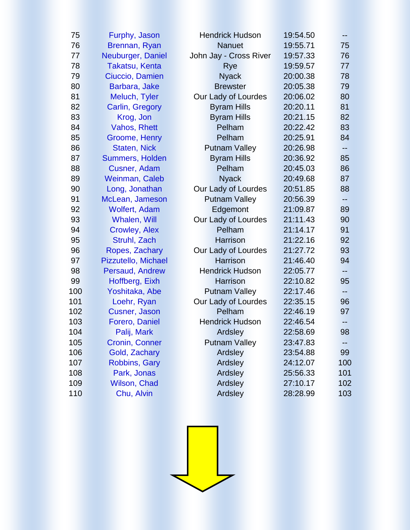| 75  | Furphy, Jason          | <b>Hendrick Hudson</b> | 19:54.50 | --  |
|-----|------------------------|------------------------|----------|-----|
| 76  | Brennan, Ryan          | <b>Nanuet</b>          | 19:55.71 | 75  |
| 77  | Neuburger, Daniel      | John Jay - Cross River | 19:57.33 | 76  |
| 78  | <b>Takatsu, Kenta</b>  | Rye                    | 19:59.57 | 77  |
| 79  | Ciuccio, Damien        | <b>Nyack</b>           | 20:00.38 | 78  |
| 80  | Barbara, Jake          | <b>Brewster</b>        | 20:05.38 | 79  |
| 81  | Meluch, Tyler          | Our Lady of Lourdes    | 20:06.02 | 80  |
| 82  | Carlin, Gregory        | <b>Byram Hills</b>     | 20:20.11 | 81  |
| 83  | Krog, Jon              | <b>Byram Hills</b>     | 20:21.15 | 82  |
| 84  | Vahos, Rhett           | Pelham                 | 20:22.42 | 83  |
| 85  | Groome, Henry          | Pelham                 | 20:25.91 | 84  |
| 86  | <b>Staten, Nick</b>    | <b>Putnam Valley</b>   | 20:26.98 |     |
| 87  | <b>Summers, Holden</b> | <b>Byram Hills</b>     | 20:36.92 | 85  |
| 88  | Cusner, Adam           | Pelham                 | 20:45.03 | 86  |
| 89  | Weinman, Caleb         | <b>Nyack</b>           | 20:49.68 | 87  |
| 90  | Long, Jonathan         | Our Lady of Lourdes    | 20:51.85 | 88  |
| 91  | McLean, Jameson        | <b>Putnam Valley</b>   | 20:56.39 | --  |
| 92  | <b>Wolfert, Adam</b>   | Edgemont               | 21:09.87 | 89  |
| 93  | Whalen, Will           | Our Lady of Lourdes    | 21:11.43 | 90  |
| 94  | <b>Crowley, Alex</b>   | Pelham                 | 21:14.17 | 91  |
| 95  | Struhl, Zach           | <b>Harrison</b>        | 21:22.16 | 92  |
| 96  | Ropes, Zachary         | Our Lady of Lourdes    | 21:27.72 | 93  |
| 97  | Pizzutello, Michael    | <b>Harrison</b>        | 21:46.40 | 94  |
| 98  | Persaud, Andrew        | <b>Hendrick Hudson</b> | 22:05.77 | --  |
| 99  | Hoffberg, Eixh         | <b>Harrison</b>        | 22:10.82 | 95  |
| 100 | Yoshitaka, Abe         | <b>Putnam Valley</b>   | 22:17.46 |     |
| 101 | Loehr, Ryan            | Our Lady of Lourdes    | 22:35.15 | 96  |
| 102 | <b>Cusner, Jason</b>   | Pelham                 | 22:46.19 | 97  |
| 103 | Forero, Daniel         | <b>Hendrick Hudson</b> | 22:46.54 | --  |
| 104 | Palij, Mark            | Ardsley                | 22:58.69 | 98  |
| 105 | <b>Cronin, Conner</b>  | <b>Putnam Valley</b>   | 23:47.83 |     |
| 106 | Gold, Zachary          | Ardsley                | 23:54.88 | 99  |
| 107 | <b>Robbins, Gary</b>   | Ardsley                | 24:12.07 | 100 |
| 108 | Park, Jonas            | Ardsley                | 25:56.33 | 101 |
| 109 | Wilson, Chad           | Ardsley                | 27:10.17 | 102 |
| 110 | Chu, Alvin             | Ardsley                | 28:28.99 | 103 |